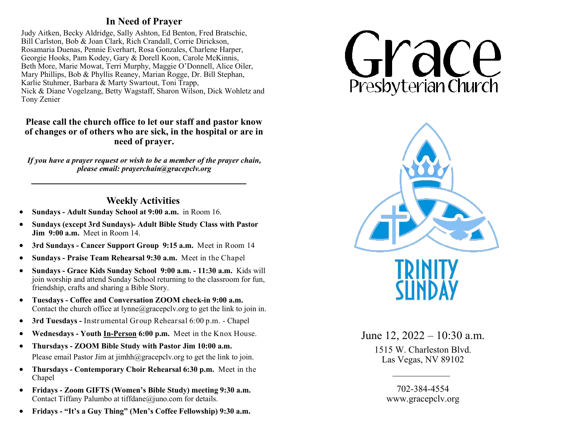## **In Need of Prayer**

Judy Aitken, Becky Aldridge, Sally Ashton, Ed Benton, Fred Bratschie, Bill Carlston, Bob & Joan Clark, Rich Crandall, Corrie Dirickson, Rosamaria Duenas, Pennie Everhart, Rosa Gonzales, Charlene Harper, Georgie Hooks, Pam Kodey, Gary & Dorell Koon, Carole McKinnis, Beth More, Marie Mowat, Terri Murphy, Maggie O'Donnell, Alice Oiler, Mary Phillips, Bob & Phyllis Reaney, Marian Rogge, Dr. Bill Stephan, Karlie Stuhmer, Barbara & Marty Swartout, Toni Trapp, Nick & Diane Vogelzang, Betty Wagstaff, Sharon Wilson, Dick Wohletz and Tony Zenier

## **Please call the church office to let our staff and pastor know of changes or of others who are sick, in the hospital or are in need of prayer.**

*If you have a prayer request or wish to be a member of the prayer chain, please email: prayerchain@gracepclv.org*

## **Weekly Activities**

- **Sundays - Adult Sunday School at 9:00 a.m.** in Room 16.
- **Sundays (except 3rd Sundays)- Adult Bible Study Class with Pastor Jim 9:00 a.m.** Meet in Room 14.
- **3rd Sundays - Cancer Support Group 9:15 a.m.** Meet in Room 14
- **Sundays - Praise Team Rehearsal 9:30 a.m.** Meet in the Chapel
- **Sundays - Grace Kids Sunday School 9:00 a.m. - 11:30 a.m.** Kids will join worship and attend Sunday School returning to the classroom for fun, friendship, crafts and sharing a Bible Story.
- **Tuesdays - Coffee and Conversation ZOOM check-in 9:00 a.m.**  Contac[t t](mailto:dana@gracepclv.org?subject=Requesting%20Zoom%20Link%20for%20Coffee%20with%20Pastor%20Dana)he church office at  $lynne@gracepclv.org$  to get the link to join in.
- **3rd Tuesdays -** Instrumental Group Rehearsal 6:00 p.m. Chapel
- **Wednesdays - Youth In-Person 6:00 p.m.** Meet in the Knox House.
- **Thursdays - ZOOM Bible Study with Pastor Jim 10:00 a.m.**  Please email Pastor Jim at  $\limh(\partial g)$  gracepcly.org to get the link to join.
- **Thursdays - Contemporary Choir Rehearsal 6:30 p.m.** Meet in the Chapel
- **Fridays - Zoom GIFTS (Women's Bible Study) meeting 9:30 a.m.**  Contact Tiffany Palumbo at tiffdane@juno.com for details.
- **Fridays - "It's a Guy Thing" (Men's Coffee Fellowship) 9:30 a.m.**





June 12, 2022 – 10:30 a.m. 1515 W. Charleston Blvd. Las Vegas, NV 89102

> 702-384-4554 www.gracepclv.org